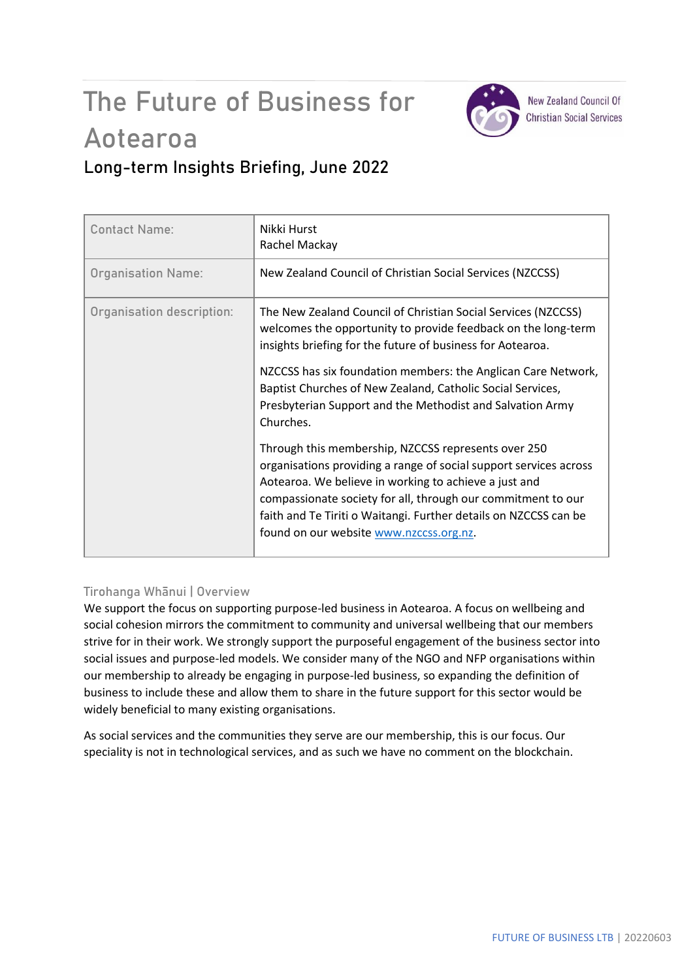# The Future of Business for Aotearoa



**New Zealand Council Of Christian Social Services** 

## **Long-term Insights Briefing, June 2022**

| <b>Contact Name:</b>      | Nikki Hurst<br>Rachel Mackay                                                                                                                                                                                                                                                                                                                                     |
|---------------------------|------------------------------------------------------------------------------------------------------------------------------------------------------------------------------------------------------------------------------------------------------------------------------------------------------------------------------------------------------------------|
| <b>Organisation Name:</b> | New Zealand Council of Christian Social Services (NZCCSS)                                                                                                                                                                                                                                                                                                        |
| Organisation description: | The New Zealand Council of Christian Social Services (NZCCSS)<br>welcomes the opportunity to provide feedback on the long-term<br>insights briefing for the future of business for Aotearoa.                                                                                                                                                                     |
|                           | NZCCSS has six foundation members: the Anglican Care Network,<br>Baptist Churches of New Zealand, Catholic Social Services,<br>Presbyterian Support and the Methodist and Salvation Army<br>Churches.                                                                                                                                                            |
|                           | Through this membership, NZCCSS represents over 250<br>organisations providing a range of social support services across<br>Aotearoa. We believe in working to achieve a just and<br>compassionate society for all, through our commitment to our<br>faith and Te Tiriti o Waitangi. Further details on NZCCSS can be<br>found on our website www.nzccss.org.nz. |

### **Tirohanga Whānui | Overview**

We support the focus on supporting purpose-led business in Aotearoa. A focus on wellbeing and social cohesion mirrors the commitment to community and universal wellbeing that our members strive for in their work. We strongly support the purposeful engagement of the business sector into social issues and purpose-led models. We consider many of the NGO and NFP organisations within our membership to already be engaging in purpose-led business, so expanding the definition of business to include these and allow them to share in the future support for this sector would be widely beneficial to many existing organisations.

As social services and the communities they serve are our membership, this is our focus. Our speciality is not in technological services, and as such we have no comment on the blockchain.